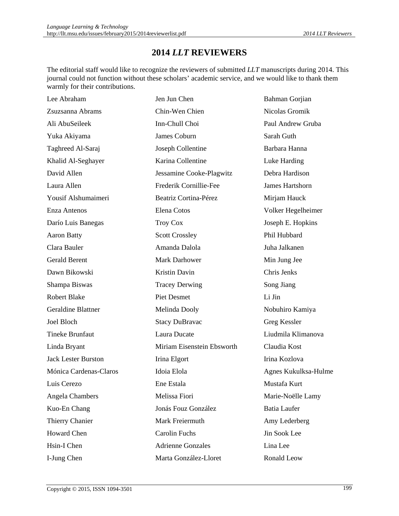## **2014** *LLT* **REVIEWERS**

The editorial staff would like to recognize the reviewers of submitted *LLT* manuscripts during 2014. This journal could not function without these scholars' academic service, and we would like to thank them warmly for their contributions.

| Lee Abraham                | Jen Jun Chen               | <b>Bahman Gorjian</b> |
|----------------------------|----------------------------|-----------------------|
| Zsuzsanna Abrams           | Chin-Wen Chien             | Nicolas Gromik        |
| Ali AbuSeileek             | Inn-Chull Choi             | Paul Andrew Gruba     |
| Yuka Akiyama               | James Coburn               | Sarah Guth            |
| Taghreed Al-Saraj          | Joseph Collentine          | Barbara Hanna         |
| Khalid Al-Seghayer         | Karina Collentine          | Luke Harding          |
| David Allen                | Jessamine Cooke-Plagwitz   | Debra Hardison        |
| Laura Allen                | Frederik Cornillie-Fee     | James Hartshorn       |
| Yousif Alshumaimeri        | Beatriz Cortina-Pérez      | Mirjam Hauck          |
| Enza Antenos               | Elena Cotos                | Volker Hegelheimer    |
| Darío Luis Banegas         | <b>Troy Cox</b>            | Joseph E. Hopkins     |
| <b>Aaron Batty</b>         | <b>Scott Crossley</b>      | Phil Hubbard          |
| Clara Bauler               | Amanda Dalola              | Juha Jalkanen         |
| <b>Gerald Berent</b>       | <b>Mark Darhower</b>       | Min Jung Jee          |
| Dawn Bikowski              | <b>Kristin Davin</b>       | Chris Jenks           |
| Shampa Biswas              | <b>Tracey Derwing</b>      | Song Jiang            |
| <b>Robert Blake</b>        | <b>Piet Desmet</b>         | Li Jin                |
| <b>Geraldine Blattner</b>  | Melinda Dooly              | Nobuhiro Kamiya       |
| Joel Bloch                 | <b>Stacy DuBravac</b>      | Greg Kessler          |
| <b>Tineke Brunfaut</b>     | Laura Ducate               | Liudmila Klimanova    |
| Linda Bryant               | Miriam Eisenstein Ebsworth | Claudia Kost          |
| <b>Jack Lester Burston</b> | Irina Elgort               | Irina Kozlova         |
| Mónica Cardenas-Claros     | Idoia Elola                | Agnes Kukulksa-Hulme  |
| Luis Cerezo                | Ene Estala                 | Mustafa Kurt          |
| Angela Chambers            | Melissa Fiori              | Marie-Noëlle Lamy     |
| Kuo-En Chang               | Jonás Fouz González        | <b>Batia Laufer</b>   |
| Thierry Chanier            | Mark Freiermuth            | Amy Lederberg         |
| <b>Howard Chen</b>         | <b>Carolin Fuchs</b>       | Jin Sook Lee          |
| Hsin-I Chen                | <b>Adrienne Gonzales</b>   | Lina Lee              |
| I-Jung Chen                | Marta González-Lloret      | Ronald Leow           |